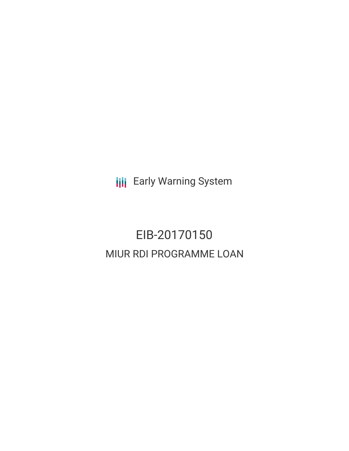**III** Early Warning System

# EIB-20170150 MIUR RDI PROGRAMME LOAN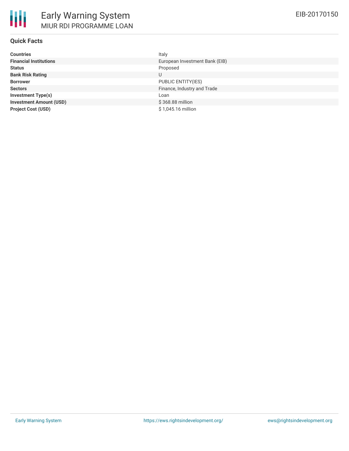## **Quick Facts**

| <b>Countries</b>               | Italy                          |
|--------------------------------|--------------------------------|
| <b>Financial Institutions</b>  | European Investment Bank (EIB) |
| <b>Status</b>                  | Proposed                       |
| <b>Bank Risk Rating</b>        | U                              |
| <b>Borrower</b>                | PUBLIC ENTITY(IES)             |
| <b>Sectors</b>                 | Finance, Industry and Trade    |
| <b>Investment Type(s)</b>      | Loan                           |
| <b>Investment Amount (USD)</b> | \$368.88 million               |
| <b>Project Cost (USD)</b>      | \$1,045.16 million             |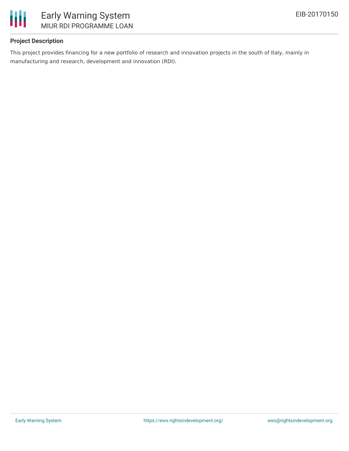

## **Project Description**

This project provides financing for a new portfolio of research and innovation projects in the south of Italy, mainly in manufacturing and research, development and innovation (RDI).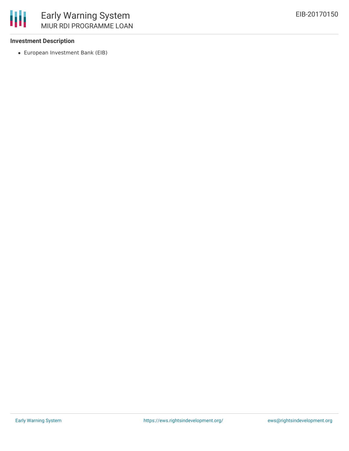

### **Investment Description**

冊

European Investment Bank (EIB)